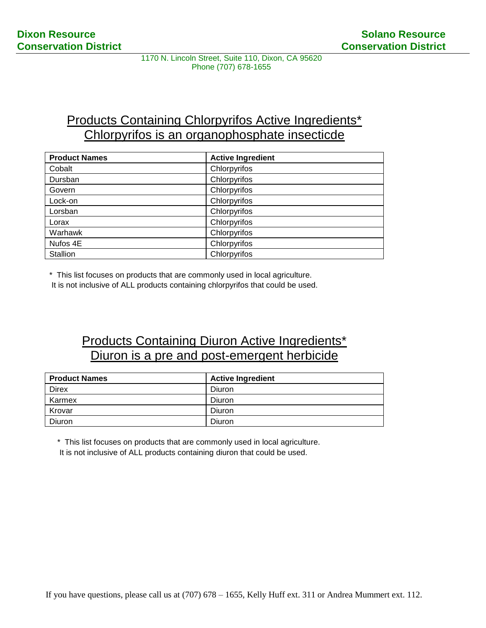1170 N. Lincoln Street, Suite 110, Dixon, CA 95620 Phone (707) 678-1655

## **Products Containing Chlorpyrifos Active Ingredients\*** Chlorpyrifos is an organophosphate insecticde

| <b>Product Names</b> | <b>Active Ingredient</b> |
|----------------------|--------------------------|
| Cobalt               | Chlorpyrifos             |
| Dursban              | Chlorpyrifos             |
| Govern               | Chlorpyrifos             |
| Lock-on              | Chlorpyrifos             |
| Lorsban              | Chlorpyrifos             |
| Lorax                | Chlorpyrifos             |
| Warhawk              | Chlorpyrifos             |
| Nufos 4E             | Chlorpyrifos             |
| Stallion             | Chlorpyrifos             |

\* This list focuses on products that are commonly used in local agriculture.

It is not inclusive of ALL products containing chlorpyrifos that could be used.

## Products Containing Diuron Active Ingredients\* Diuron is a pre and post-emergent herbicide

| <b>Product Names</b> | <b>Active Ingredient</b> |
|----------------------|--------------------------|
| Direx                | Diuron                   |
| Karmex               | Diuron                   |
| Krovar               | Diuron                   |
| Diuron               | Diuron                   |

\* This list focuses on products that are commonly used in local agriculture.

It is not inclusive of ALL products containing diuron that could be used.